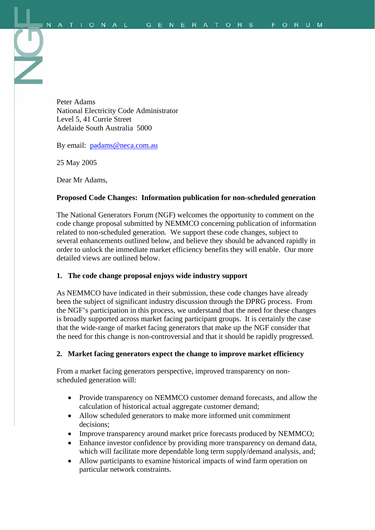Peter Adams National Electricity Code Administrator Level 5, 41 Currie Street Adelaide South Australia 5000

By email: [padams@neca.com.au](mailto:padams@neca.com.au)

25 May 2005

Dear Mr Adams,

#### **Proposed Code Changes: Information publication for non-scheduled generation**

The National Generators Forum (NGF) welcomes the opportunity to comment on the code change proposal submitted by NEMMCO concerning publication of information related to non-scheduled generation*.* We support these code changes, subject to several enhancements outlined below, and believe they should be advanced rapidly in order to unlock the immediate market efficiency benefits they will enable. Our more detailed views are outlined below.

#### **1. The code change proposal enjoys wide industry support**

As NEMMCO have indicated in their submission, these code changes have already been the subject of significant industry discussion through the DPRG process. From the NGF's participation in this process, we understand that the need for these changes is broadly supported across market facing participant groups. It is certainly the case that the wide-range of market facing generators that make up the NGF consider that the need for this change is non-controversial and that it should be rapidly progressed.

#### **2. Market facing generators expect the change to improve market efficiency**

From a market facing generators perspective, improved transparency on nonscheduled generation will:

- Provide transparency on NEMMCO customer demand forecasts, and allow the calculation of historical actual aggregate customer demand;
- Allow scheduled generators to make more informed unit commitment decisions;
- Improve transparency around market price forecasts produced by NEMMCO;
- Enhance investor confidence by providing more transparency on demand data, which will facilitate more dependable long term supply/demand analysis, and;
- Allow participants to examine historical impacts of wind farm operation on particular network constraints.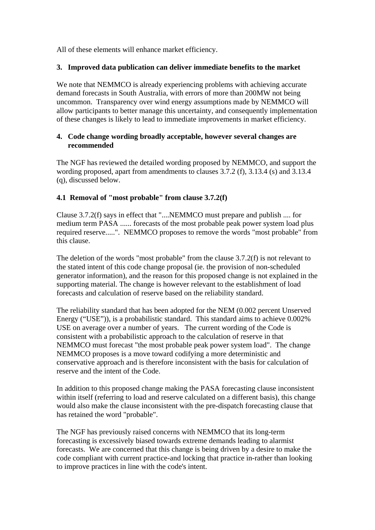All of these elements will enhance market efficiency.

### **3. Improved data publication can deliver immediate benefits to the market**

We note that NEMMCO is already experiencing problems with achieving accurate demand forecasts in South Australia, with errors of more than 200MW not being uncommon. Transparency over wind energy assumptions made by NEMMCO will allow participants to better manage this uncertainty, and consequently implementation of these changes is likely to lead to immediate improvements in market efficiency.

### **4. Code change wording broadly acceptable, however several changes are recommended**

The NGF has reviewed the detailed wording proposed by NEMMCO, and support the wording proposed, apart from amendments to clauses 3.7.2 (f), 3.13.4 (s) and 3.13.4 (q), discussed below.

## **4.1 Removal of "most probable" from clause 3.7.2(f)**

Clause 3.7.2(f) says in effect that "....NEMMCO must prepare and publish .... for medium term PASA ...... forecasts of the most probable peak power system load plus required reserve.....". NEMMCO proposes to remove the words "most probable" from this clause.

The deletion of the words "most probable" from the clause 3.7.2(f) is not relevant to the stated intent of this code change proposal (ie. the provision of non-scheduled generator information), and the reason for this proposed change is not explained in the supporting material. The change is however relevant to the establishment of load forecasts and calculation of reserve based on the reliability standard.

The reliability standard that has been adopted for the NEM (0.002 percent Unserved Energy ("USE")), is a probabilistic standard. This standard aims to achieve 0.002% USE on average over a number of years. The current wording of the Code is consistent with a probabilistic approach to the calculation of reserve in that NEMMCO must forecast "the most probable peak power system load". The change NEMMCO proposes is a move toward codifying a more deterministic and conservative approach and is therefore inconsistent with the basis for calculation of reserve and the intent of the Code.

In addition to this proposed change making the PASA forecasting clause inconsistent within itself (referring to load and reserve calculated on a different basis), this change would also make the clause inconsistent with the pre-dispatch forecasting clause that has retained the word "probable".

The NGF has previously raised concerns with NEMMCO that its long-term forecasting is excessively biased towards extreme demands leading to alarmist forecasts. We are concerned that this change is being driven by a desire to make the code compliant with current practice-and locking that practice in-rather than looking to improve practices in line with the code's intent.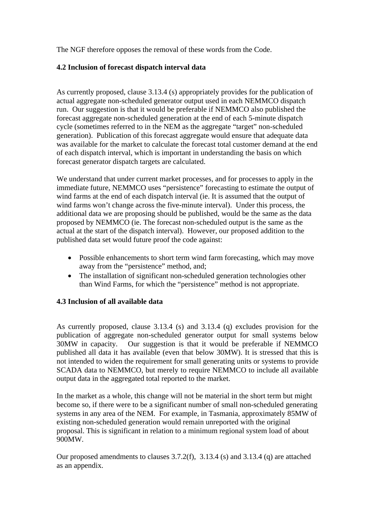The NGF therefore opposes the removal of these words from the Code.

## **4.2 Inclusion of forecast dispatch interval data**

As currently proposed, clause 3.13.4 (s) appropriately provides for the publication of actual aggregate non-scheduled generator output used in each NEMMCO dispatch run. Our suggestion is that it would be preferable if NEMMCO also published the forecast aggregate non-scheduled generation at the end of each 5-minute dispatch cycle (sometimes referred to in the NEM as the aggregate "target" non-scheduled generation). Publication of this forecast aggregate would ensure that adequate data was available for the market to calculate the forecast total customer demand at the end of each dispatch interval, which is important in understanding the basis on which forecast generator dispatch targets are calculated.

We understand that under current market processes, and for processes to apply in the immediate future, NEMMCO uses "persistence" forecasting to estimate the output of wind farms at the end of each dispatch interval (ie. It is assumed that the output of wind farms won't change across the five-minute interval). Under this process, the additional data we are proposing should be published, would be the same as the data proposed by NEMMCO (ie. The forecast non-scheduled output is the same as the actual at the start of the dispatch interval). However, our proposed addition to the published data set would future proof the code against:

- Possible enhancements to short term wind farm forecasting, which may move away from the "persistence" method, and;
- The installation of significant non-scheduled generation technologies other than Wind Farms, for which the "persistence" method is not appropriate.

## **4.3 Inclusion of all available data**

As currently proposed, clause 3.13.4 (s) and 3.13.4 (q) excludes provision for the publication of aggregate non-scheduled generator output for small systems below 30MW in capacity. Our suggestion is that it would be preferable if NEMMCO published all data it has available (even that below 30MW). It is stressed that this is not intended to widen the requirement for small generating units or systems to provide SCADA data to NEMMCO, but merely to require NEMMCO to include all available output data in the aggregated total reported to the market.

In the market as a whole, this change will not be material in the short term but might become so, if there were to be a significant number of small non-scheduled generating systems in any area of the NEM. For example, in Tasmania, approximately 85MW of existing non-scheduled generation would remain unreported with the original proposal. This is significant in relation to a minimum regional system load of about 900MW.

Our proposed amendments to clauses 3.7.2(f), 3.13.4 (s) and 3.13.4 (q) are attached as an appendix.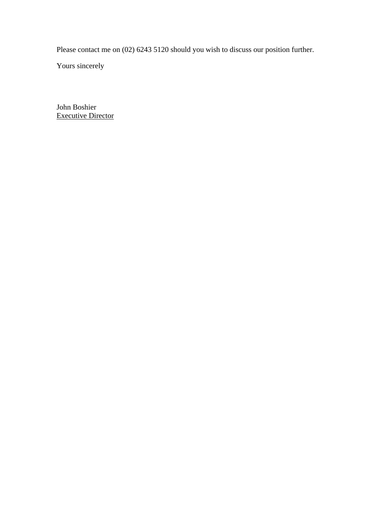Please contact me on (02) 6243 5120 should you wish to discuss our position further.

Yours sincerely

John Boshier Executive Director